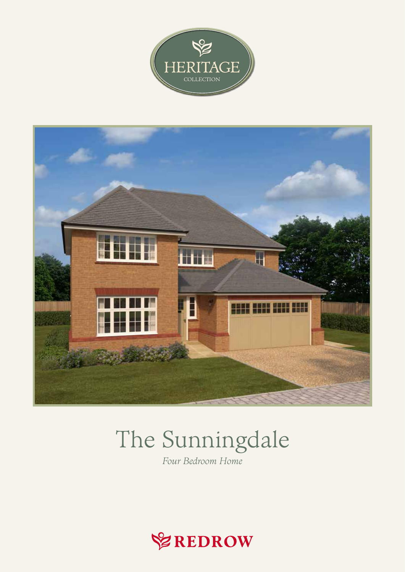



# The Sunningdale

Four Bedroom Home